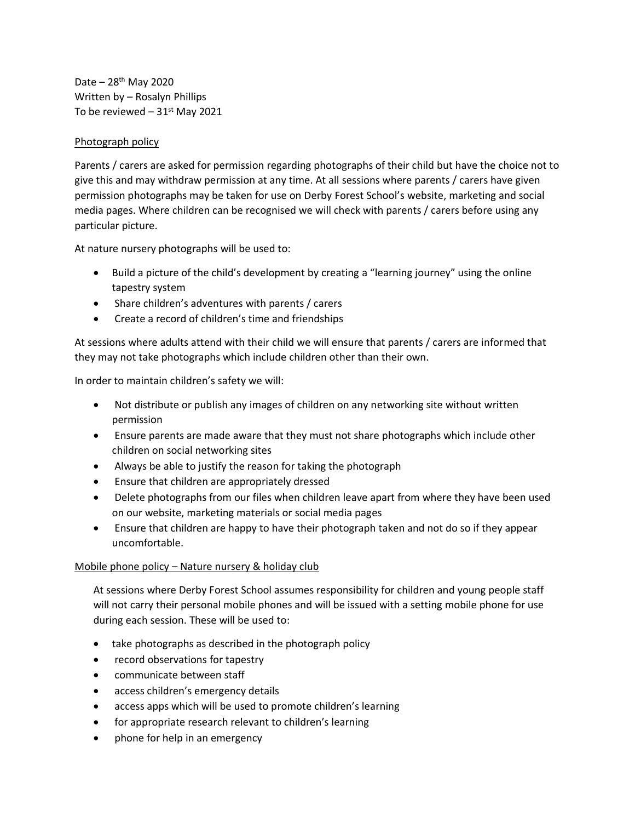Date – 28th May 2020 Written by – Rosalyn Phillips To be reviewed  $-31<sup>st</sup>$  May 2021

## Photograph policy

Parents / carers are asked for permission regarding photographs of their child but have the choice not to give this and may withdraw permission at any time. At all sessions where parents / carers have given permission photographs may be taken for use on Derby Forest School's website, marketing and social media pages. Where children can be recognised we will check with parents / carers before using any particular picture.

At nature nursery photographs will be used to:

- Build a picture of the child's development by creating a "learning journey" using the online tapestry system
- Share children's adventures with parents / carers
- Create a record of children's time and friendships

At sessions where adults attend with their child we will ensure that parents / carers are informed that they may not take photographs which include children other than their own.

In order to maintain children's safety we will:

- Not distribute or publish any images of children on any networking site without written permission
- Ensure parents are made aware that they must not share photographs which include other children on social networking sites
- Always be able to justify the reason for taking the photograph
- Ensure that children are appropriately dressed
- Delete photographs from our files when children leave apart from where they have been used on our website, marketing materials or social media pages
- Ensure that children are happy to have their photograph taken and not do so if they appear uncomfortable.

## Mobile phone policy – Nature nursery & holiday club

At sessions where Derby Forest School assumes responsibility for children and young people staff will not carry their personal mobile phones and will be issued with a setting mobile phone for use during each session. These will be used to:

- take photographs as described in the photograph policy
- record observations for tapestry
- communicate between staff
- access children's emergency details
- access apps which will be used to promote children's learning
- for appropriate research relevant to children's learning
- phone for help in an emergency